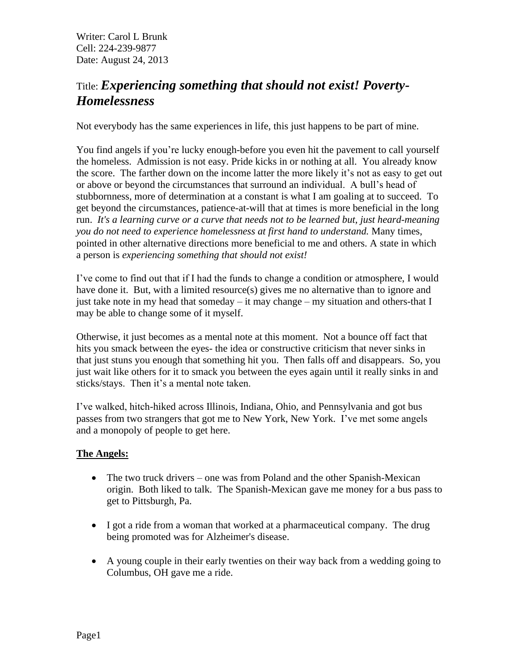# Title: *Experiencing something that should not exist! Poverty-Homelessness*

Not everybody has the same experiences in life, this just happens to be part of mine.

You find angels if you're lucky enough-before you even hit the pavement to call yourself the homeless. Admission is not easy. Pride kicks in or nothing at all. You already know the score. The farther down on the income latter the more likely it's not as easy to get out or above or beyond the circumstances that surround an individual. A bull's head of stubbornness, more of determination at a constant is what I am goaling at to succeed. To get beyond the circumstances, patience-at-will that at times is more beneficial in the long run. *It's a learning curve or a curve that needs not to be learned but, just heard-meaning you do not need to experience homelessness at first hand to understand.* Many times, pointed in other alternative directions more beneficial to me and others. A state in which a person is *experiencing something that should not exist!*

I've come to find out that if I had the funds to change a condition or atmosphere, I would have done it. But, with a limited resource(s) gives me no alternative than to ignore and just take note in my head that someday – it may change – my situation and others-that I may be able to change some of it myself.

Otherwise, it just becomes as a mental note at this moment. Not a bounce off fact that hits you smack between the eyes- the idea or constructive criticism that never sinks in that just stuns you enough that something hit you. Then falls off and disappears. So, you just wait like others for it to smack you between the eyes again until it really sinks in and sticks/stays. Then it's a mental note taken.

I've walked, hitch-hiked across Illinois, Indiana, Ohio, and Pennsylvania and got bus passes from two strangers that got me to New York, New York. I've met some angels and a monopoly of people to get here.

### **The Angels:**

- The two truck drivers one was from Poland and the other Spanish-Mexican origin. Both liked to talk. The Spanish-Mexican gave me money for a bus pass to get to Pittsburgh, Pa.
- I got a ride from a woman that worked at a pharmaceutical company. The drug being promoted was for Alzheimer's disease.
- A young couple in their early twenties on their way back from a wedding going to Columbus, OH gave me a ride.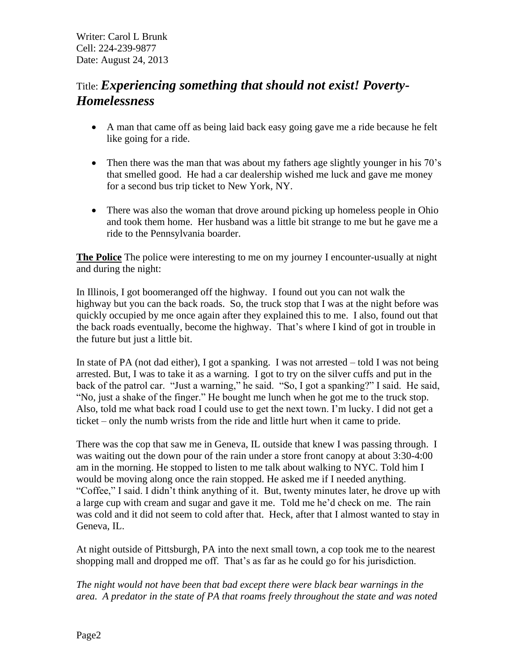# Title: *Experiencing something that should not exist! Poverty-Homelessness*

- A man that came off as being laid back easy going gave me a ride because he felt like going for a ride.
- Then there was the man that was about my fathers age slightly younger in his 70's that smelled good. He had a car dealership wished me luck and gave me money for a second bus trip ticket to New York, NY.
- There was also the woman that drove around picking up homeless people in Ohio and took them home. Her husband was a little bit strange to me but he gave me a ride to the Pennsylvania boarder.

**The Police** The police were interesting to me on my journey I encounter-usually at night and during the night:

In Illinois, I got boomeranged off the highway. I found out you can not walk the highway but you can the back roads. So, the truck stop that I was at the night before was quickly occupied by me once again after they explained this to me. I also, found out that the back roads eventually, become the highway. That's where I kind of got in trouble in the future but just a little bit.

In state of PA (not dad either), I got a spanking. I was not arrested – told I was not being arrested. But, I was to take it as a warning. I got to try on the silver cuffs and put in the back of the patrol car. "Just a warning," he said. "So, I got a spanking?" I said. He said, "No, just a shake of the finger." He bought me lunch when he got me to the truck stop. Also, told me what back road I could use to get the next town. I'm lucky. I did not get a ticket – only the numb wrists from the ride and little hurt when it came to pride.

There was the cop that saw me in Geneva, IL outside that knew I was passing through. I was waiting out the down pour of the rain under a store front canopy at about 3:30-4:00 am in the morning. He stopped to listen to me talk about walking to NYC. Told him I would be moving along once the rain stopped. He asked me if I needed anything. "Coffee," I said. I didn't think anything of it. But, twenty minutes later, he drove up with a large cup with cream and sugar and gave it me. Told me he'd check on me. The rain was cold and it did not seem to cold after that. Heck, after that I almost wanted to stay in Geneva, IL.

At night outside of Pittsburgh, PA into the next small town, a cop took me to the nearest shopping mall and dropped me off. That's as far as he could go for his jurisdiction.

*The night would not have been that bad except there were black bear warnings in the area. A predator in the state of PA that roams freely throughout the state and was noted*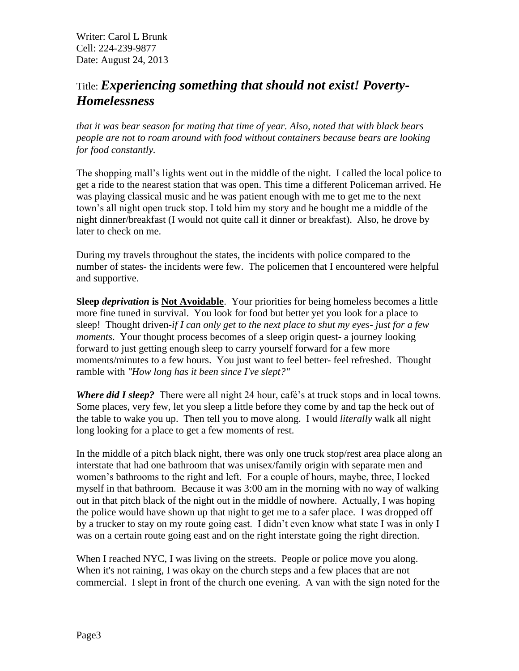## Title: *Experiencing something that should not exist! Poverty-Homelessness*

*that it was bear season for mating that time of year. Also, noted that with black bears people are not to roam around with food without containers because bears are looking for food constantly.*

The shopping mall's lights went out in the middle of the night. I called the local police to get a ride to the nearest station that was open. This time a different Policeman arrived. He was playing classical music and he was patient enough with me to get me to the next town's all night open truck stop. I told him my story and he bought me a middle of the night dinner/breakfast (I would not quite call it dinner or breakfast). Also, he drove by later to check on me.

During my travels throughout the states, the incidents with police compared to the number of states- the incidents were few. The policemen that I encountered were helpful and supportive.

**Sleep** *deprivation* **is Not Avoidable**. Your priorities for being homeless becomes a little more fine tuned in survival. You look for food but better yet you look for a place to sleep! Thought driven-*if I can only get to the next place to shut my eyes- just for a few moments*. Your thought process becomes of a sleep origin quest- a journey looking forward to just getting enough sleep to carry yourself forward for a few more moments/minutes to a few hours. You just want to feel better- feel refreshed. Thought ramble with *"How long has it been since I've slept?"*

*Where did I sleep?* There were all night 24 hour, café's at truck stops and in local towns. Some places, very few, let you sleep a little before they come by and tap the heck out of the table to wake you up. Then tell you to move along. I would *literally* walk all night long looking for a place to get a few moments of rest.

In the middle of a pitch black night, there was only one truck stop/rest area place along an interstate that had one bathroom that was unisex/family origin with separate men and women's bathrooms to the right and left. For a couple of hours, maybe, three, I locked myself in that bathroom. Because it was 3:00 am in the morning with no way of walking out in that pitch black of the night out in the middle of nowhere. Actually, I was hoping the police would have shown up that night to get me to a safer place. I was dropped off by a trucker to stay on my route going east. I didn't even know what state I was in only I was on a certain route going east and on the right interstate going the right direction.

When I reached NYC, I was living on the streets. People or police move you along. When it's not raining, I was okay on the church steps and a few places that are not commercial. I slept in front of the church one evening. A van with the sign noted for the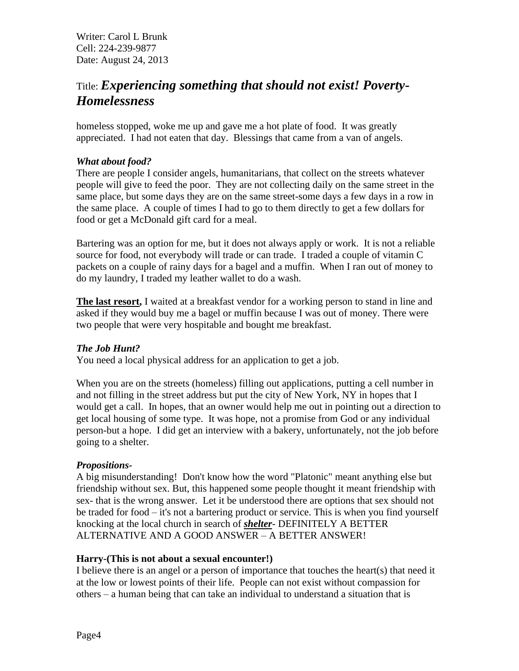## Title: *Experiencing something that should not exist! Poverty-Homelessness*

homeless stopped, woke me up and gave me a hot plate of food. It was greatly appreciated. I had not eaten that day. Blessings that came from a van of angels.

#### *What about food?*

There are people I consider angels, humanitarians, that collect on the streets whatever people will give to feed the poor. They are not collecting daily on the same street in the same place, but some days they are on the same street-some days a few days in a row in the same place. A couple of times I had to go to them directly to get a few dollars for food or get a McDonald gift card for a meal.

Bartering was an option for me, but it does not always apply or work. It is not a reliable source for food, not everybody will trade or can trade. I traded a couple of vitamin C packets on a couple of rainy days for a bagel and a muffin. When I ran out of money to do my laundry, I traded my leather wallet to do a wash.

**The last resort,** I waited at a breakfast vendor for a working person to stand in line and asked if they would buy me a bagel or muffin because I was out of money. There were two people that were very hospitable and bought me breakfast.

#### *The Job Hunt?*

You need a local physical address for an application to get a job.

When you are on the streets (homeless) filling out applications, putting a cell number in and not filling in the street address but put the city of New York, NY in hopes that I would get a call. In hopes, that an owner would help me out in pointing out a direction to get local housing of some type. It was hope, not a promise from God or any individual person-but a hope. I did get an interview with a bakery, unfortunately, not the job before going to a shelter.

#### *Propositions-*

A big misunderstanding! Don't know how the word "Platonic" meant anything else but friendship without sex. But, this happened some people thought it meant friendship with sex- that is the wrong answer. Let it be understood there are options that sex should not be traded for food – it's not a bartering product or service. This is when you find yourself knocking at the local church in search of *shelter*- DEFINITELY A BETTER ALTERNATIVE AND A GOOD ANSWER – A BETTER ANSWER!

#### **Harry-(This is not about a sexual encounter!)**

I believe there is an angel or a person of importance that touches the heart(s) that need it at the low or lowest points of their life. People can not exist without compassion for others – a human being that can take an individual to understand a situation that is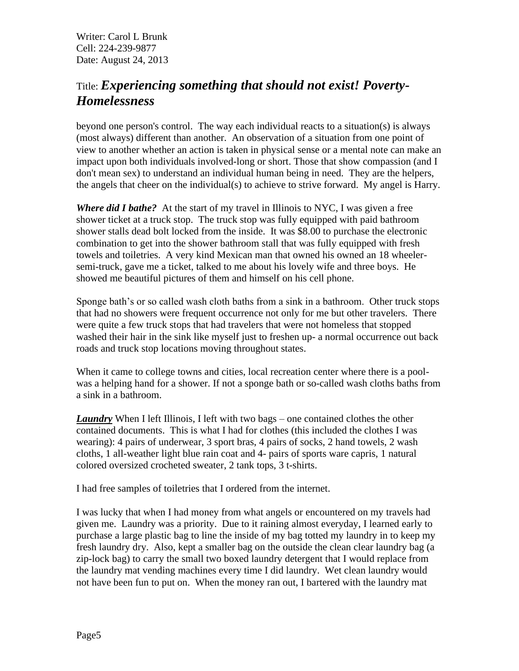## Title: *Experiencing something that should not exist! Poverty-Homelessness*

beyond one person's control. The way each individual reacts to a situation(s) is always (most always) different than another. An observation of a situation from one point of view to another whether an action is taken in physical sense or a mental note can make an impact upon both individuals involved-long or short. Those that show compassion (and I don't mean sex) to understand an individual human being in need. They are the helpers, the angels that cheer on the individual(s) to achieve to strive forward. My angel is Harry.

*Where did I bathe?*At the start of my travel in Illinois to NYC, I was given a free shower ticket at a truck stop. The truck stop was fully equipped with paid bathroom shower stalls dead bolt locked from the inside. It was \$8.00 to purchase the electronic combination to get into the shower bathroom stall that was fully equipped with fresh towels and toiletries. A very kind Mexican man that owned his owned an 18 wheelersemi-truck, gave me a ticket, talked to me about his lovely wife and three boys. He showed me beautiful pictures of them and himself on his cell phone.

Sponge bath's or so called wash cloth baths from a sink in a bathroom. Other truck stops that had no showers were frequent occurrence not only for me but other travelers. There were quite a few truck stops that had travelers that were not homeless that stopped washed their hair in the sink like myself just to freshen up- a normal occurrence out back roads and truck stop locations moving throughout states.

When it came to college towns and cities, local recreation center where there is a poolwas a helping hand for a shower. If not a sponge bath or so-called wash cloths baths from a sink in a bathroom.

*Laundry* When I left Illinois, I left with two bags – one contained clothes the other contained documents. This is what I had for clothes (this included the clothes I was wearing): 4 pairs of underwear, 3 sport bras, 4 pairs of socks, 2 hand towels, 2 wash cloths, 1 all-weather light blue rain coat and 4- pairs of sports ware capris, 1 natural colored oversized crocheted sweater, 2 tank tops, 3 t-shirts.

I had free samples of toiletries that I ordered from the internet.

I was lucky that when I had money from what angels or encountered on my travels had given me. Laundry was a priority. Due to it raining almost everyday, I learned early to purchase a large plastic bag to line the inside of my bag totted my laundry in to keep my fresh laundry dry. Also, kept a smaller bag on the outside the clean clear laundry bag (a zip-lock bag) to carry the small two boxed laundry detergent that I would replace from the laundry mat vending machines every time I did laundry. Wet clean laundry would not have been fun to put on. When the money ran out, I bartered with the laundry mat